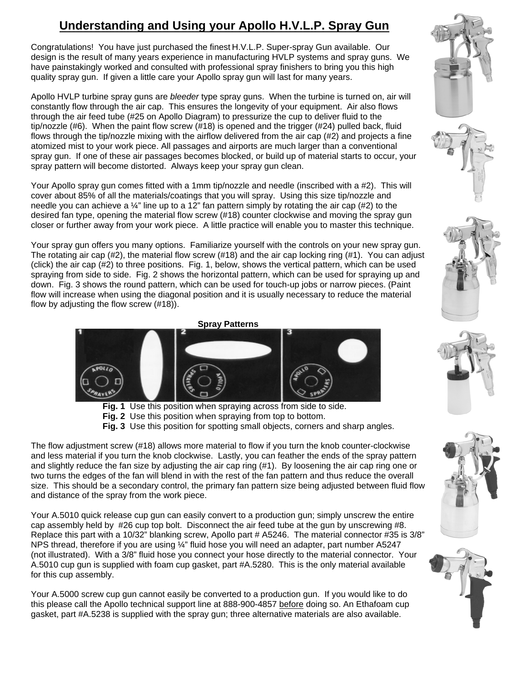# **Understanding and Using your Apollo H.V.L.P. Spray Gun**

Congratulations! You have just purchased the finest H.V.L.P. Super-spray Gun available. Our design is the result of many years experience in manufacturing HVLP systems and spray guns. We have painstakingly worked and consulted with professional spray finishers to bring you this high quality spray gun. If given a little care your Apollo spray gun will last for many years.

Apollo HVLP turbine spray guns are *bleeder* type spray guns. When the turbine is turned on, air will constantly flow through the air cap. This ensures the longevity of your equipment. Air also flows through the air feed tube (#25 on Apollo Diagram) to pressurize the cup to deliver fluid to the tip/nozzle (#6). When the paint flow screw (#18) is opened and the trigger (#24) pulled back, fluid flows through the tip/nozzle mixing with the airflow delivered from the air cap (#2) and projects a fine atomized mist to your work piece. All passages and airports are much larger than a conventional spray gun. If one of these air passages becomes blocked, or build up of material starts to occur, your spray pattern will become distorted. Always keep your spray gun clean.

Your Apollo spray gun comes fitted with a 1mm tip/nozzle and needle (inscribed with a #2). This will cover about 85% of all the materials/coatings that you will spray. Using this size tip/nozzle and needle you can achieve a  $\frac{1}{4}$ " line up to a 12" fan pattern simply by rotating the air cap (#2) to the desired fan type, opening the material flow screw (#18) counter clockwise and moving the spray gun closer or further away from your work piece. A little practice will enable you to master this technique.

Your spray gun offers you many options. Familiarize yourself with the controls on your new spray gun. The rotating air cap (#2), the material flow screw (#18) and the air cap locking ring (#1). You can adjust (click) the air cap (#2) to three positions. Fig. 1, below, shows the vertical pattern, which can be used spraying from side to side. Fig. 2 shows the horizontal pattern, which can be used for spraying up and down. Fig. 3 shows the round pattern, which can be used for touch-up jobs or narrow pieces. (Paint flow will increase when using the diagonal position and it is usually necessary to reduce the material flow by adjusting the flow screw (#18)).





The flow adjustment screw (#18) allows more material to flow if you turn the knob counter-clockwise and less material if you turn the knob clockwise. Lastly, you can feather the ends of the spray pattern and slightly reduce the fan size by adjusting the air cap ring (#1). By loosening the air cap ring one or two turns the edges of the fan will blend in with the rest of the fan pattern and thus reduce the overall size. This should be a secondary control, the primary fan pattern size being adjusted between fluid flow and distance of the spray from the work piece.

Your A.5010 quick release cup gun can easily convert to a production gun; simply unscrew the entire cap assembly held by #26 cup top bolt. Disconnect the air feed tube at the gun by unscrewing #8. Replace this part with a 10/32" blanking screw, Apollo part # A5246. The material connector #35 is 3/8" NPS thread, therefore if you are using ¼" fluid hose you will need an adapter, part number A5247 (not illustrated). With a 3/8" fluid hose you connect your hose directly to the material connector. Your A.5010 cup gun is supplied with foam cup gasket, part #A.5280. This is the only material available for this cup assembly.

Your A.5000 screw cup gun cannot easily be converted to a production gun. If you would like to do this please call the Apollo technical support line at 888-900-4857 before doing so. An Ethafoam cup gasket, part #A.5238 is supplied with the spray gun; three alternative materials are also available.











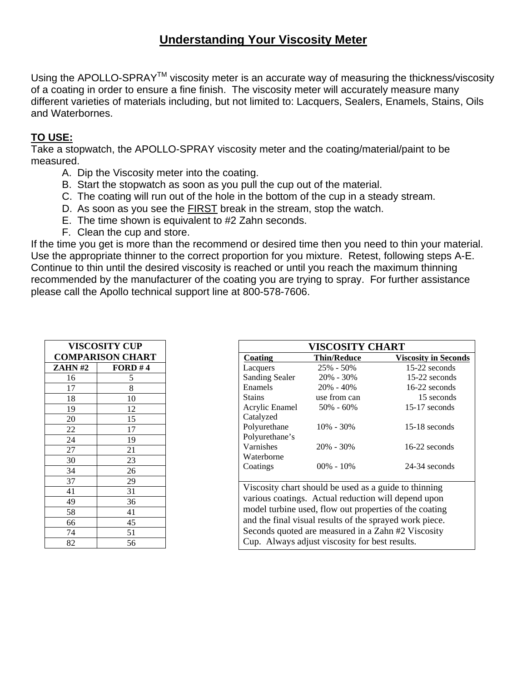### **Understanding Your Viscosity Meter**

Using the APOLLO-SPRAY<sup>™</sup> viscosity meter is an accurate way of measuring the thickness/viscosity of a coating in order to ensure a fine finish. The viscosity meter will accurately measure many different varieties of materials including, but not limited to: Lacquers, Sealers, Enamels, Stains, Oils and Waterbornes.

#### **TO USE:**

Take a stopwatch, the APOLLO-SPRAY viscosity meter and the coating/material/paint to be measured.

- A. Dip the Viscosity meter into the coating.
- B. Start the stopwatch as soon as you pull the cup out of the material.
- C. The coating will run out of the hole in the bottom of the cup in a steady stream.
- D. As soon as you see the FIRST break in the stream, stop the watch.
- E. The time shown is equivalent to #2 Zahn seconds.
- F. Clean the cup and store.

If the time you get is more than the recommend or desired time then you need to thin your material. Use the appropriate thinner to the correct proportion for you mixture. Retest, following steps A-E. Continue to thin until the desired viscosity is reached or until you reach the maximum thinning recommended by the manufacturer of the coating you are trying to spray. For further assistance please call the Apollo technical support line at 800-578-7606.

| <b>VISCOSITY CUP</b>    |         |  |  |
|-------------------------|---------|--|--|
| <b>COMPARISON CHART</b> |         |  |  |
| <b>ZAHN#2</b>           | FORD #4 |  |  |
| 16                      | 5       |  |  |
| 17                      | 8       |  |  |
| 18                      | 10      |  |  |
| 19                      | 12      |  |  |
| 20                      | 15      |  |  |
| 22                      | 17      |  |  |
| 24                      | 19      |  |  |
| 27                      | 21      |  |  |
| 30                      | 23      |  |  |
| 34                      | 26      |  |  |
| 37                      | 29      |  |  |
| 41                      | 31      |  |  |
| 49                      | 36      |  |  |
| 58                      | 41      |  |  |
| 66                      | 45      |  |  |
| 74                      | 51      |  |  |
| 82                      | 56      |  |  |

| <b>VISCOSITY CHART</b>                                  |                    |                                                       |  |  |  |
|---------------------------------------------------------|--------------------|-------------------------------------------------------|--|--|--|
| <b>Coating</b>                                          | <b>Thin/Reduce</b> | <b>Viscosity in Seconds</b>                           |  |  |  |
| Lacquers                                                | 25% - 50%          | 15-22 seconds                                         |  |  |  |
| <b>Sanding Sealer</b>                                   | $20\% - 30\%$      | 15-22 seconds                                         |  |  |  |
| Enamels                                                 | $20\% - 40\%$      | $16-22$ seconds                                       |  |  |  |
| <b>Stains</b>                                           | use from can       | 15 seconds                                            |  |  |  |
| Acrylic Enamel                                          | $50\% - 60\%$      | $15-17$ seconds                                       |  |  |  |
| Catalyzed                                               |                    |                                                       |  |  |  |
| Polyurethane                                            | $10\% - 30\%$      | $15-18$ seconds                                       |  |  |  |
| Polyurethane's                                          |                    |                                                       |  |  |  |
| Varnishes                                               | $20\% - 30\%$      | $16-22$ seconds                                       |  |  |  |
| Waterborne                                              |                    |                                                       |  |  |  |
| Coatings                                                | $00\% - 10\%$      | 24-34 seconds                                         |  |  |  |
|                                                         |                    |                                                       |  |  |  |
|                                                         |                    | Viscosity chart should be used as a guide to thinning |  |  |  |
| various coatings. Actual reduction will depend upon     |                    |                                                       |  |  |  |
| model turbine used, flow out properties of the coating  |                    |                                                       |  |  |  |
| and the final visual results of the sprayed work piece. |                    |                                                       |  |  |  |
| Seconds quoted are measured in a Zahn #2 Viscosity      |                    |                                                       |  |  |  |
|                                                         |                    |                                                       |  |  |  |
| Cup. Always adjust viscosity for best results.          |                    |                                                       |  |  |  |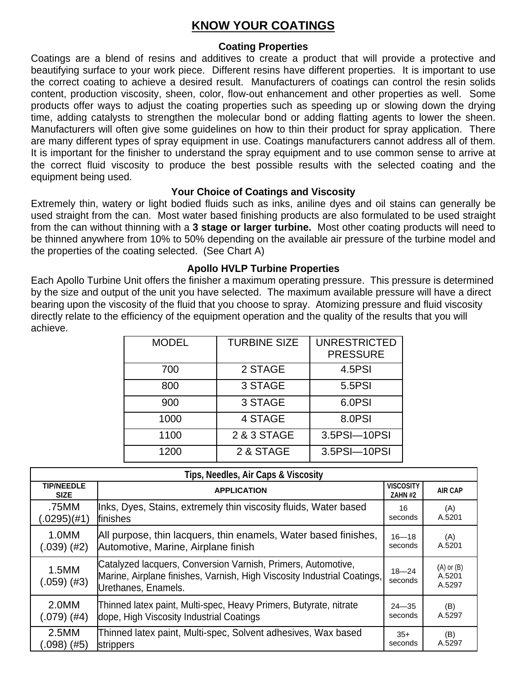### **KNOW YOUR COATINGS**

#### **Coating Properties**

Coatings are a blend of resins and additives to create a product that will provide a protective and beautifying surface to your work piece. Different resins have different properties. It is important to use the correct coating to achieve a desired result. Manufacturers of coatings can control the resin solids content, production viscosity, sheen, color, flow-out enhancement and other properties as well. Some products offer ways to adjust the coating properties such as speeding up or slowing down the drying time, adding catalysts to strengthen the molecular bond or adding flatting agents to lower the sheen. Manufacturers will often give some guidelines on how to thin their product for spray application. There are many different types of spray equipment in use. Coatings manufacturers cannot address all of them. It is important for the finisher to understand the spray equipment and to use common sense to arrive at the correct fluid viscosity to produce the best possible results with the selected coating and the equipment being used.

#### **Your Choice of Coatings and Viscosity**

Extremely thin, watery or light bodied fluids such as inks, aniline dyes and oil stains can generally be used straight from the can. Most water based finishing products are also formulated to be used straight from the can without thinning with a **3 stage or larger turbine.** Most other coating products will need to be thinned anywhere from 10% to 50% depending on the available air pressure of the turbine model and the properties of the coating selected. (See Chart A)

#### **Apollo HVLP Turbine Properties**

Each Apollo Turbine Unit offers the finisher a maximum operating pressure. This pressure is determined by the size and output of the unit you have selected. The maximum available pressure will have a direct bearing upon the viscosity of the fluid that you choose to spray. Atomizing pressure and fluid viscosity directly relate to the efficiency of the equipment operation and the quality of the results that you will achieve.

| <b>MODEL</b> | <b>TURBINE SIZE</b> | <b>UNRESTRICTED</b><br><b>PRESSURE</b> |
|--------------|---------------------|----------------------------------------|
| 700          | 2 STAGE             | 4.5PSI                                 |
| 800          | 3 STAGE             | 5.5PSI                                 |
| 900          | 3 STAGE             | 6.0PSI                                 |
| 1000         | 4 STAGE             | 8.0PSI                                 |
| 1100         | 2 & 3 STAGE         | 3.5PSI-10PSI                           |
| 1200         | 2 & STAGE           | 3.5PSI-10PSI                           |

| Tips, Needles, Air Caps & Viscosity                                                                                                     |                                                                                                                                                                |                      |                                    |  |  |
|-----------------------------------------------------------------------------------------------------------------------------------------|----------------------------------------------------------------------------------------------------------------------------------------------------------------|----------------------|------------------------------------|--|--|
| <b>TIP/NEEDLE</b><br><b>SIZE</b>                                                                                                        | <b>VISCOSITY</b><br><b>APPLICATION</b>                                                                                                                         |                      | <b>AIR CAP</b>                     |  |  |
| .75MM<br>(.0295)(#1)                                                                                                                    | Inks, Dyes, Stains, extremely thin viscosity fluids, Water based<br>finishes                                                                                   | 16<br>seconds        | (A)<br>A.5201                      |  |  |
| 1.0MM<br>$(.039)$ (#2)                                                                                                                  | All purpose, thin lacquers, thin enamels, Water based finishes,<br>Automotive, Marine, Airplane finish                                                         | $16 - 18$<br>seconds | (A)<br>A.5201                      |  |  |
| 1.5MM<br>$(.059)$ (#3)                                                                                                                  | Catalyzed lacquers, Conversion Varnish, Primers, Automotive,<br>Marine, Airplane finishes, Varnish, High Viscosity Industrial Coatings,<br>Urethanes, Enamels. |                      | $(A)$ or $(B)$<br>A.5201<br>A.5297 |  |  |
| Thinned latex paint, Multi-spec, Heavy Primers, Butyrate, nitrate<br>2.0MM<br>dope, High Viscosity Industrial Coatings<br>$(.079)$ (#4) |                                                                                                                                                                | $24 - 35$<br>seconds | (B)<br>A.5297                      |  |  |
| 2.5MM<br>$(0.098)$ (#5)                                                                                                                 | Thinned latex paint, Multi-spec, Solvent adhesives, Wax based<br>strippers                                                                                     | $35+$<br>seconds     | (B)<br>A.5297                      |  |  |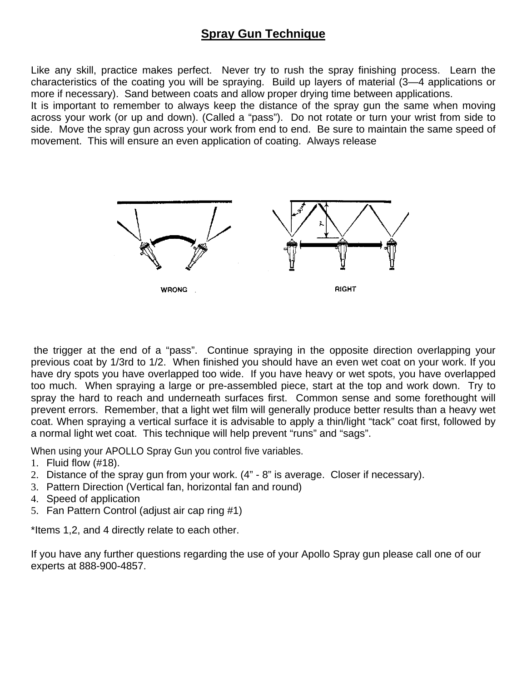### **Spray Gun Technique**

Like any skill, practice makes perfect. Never try to rush the spray finishing process. Learn the characteristics of the coating you will be spraying. Build up layers of material (3—4 applications or more if necessary). Sand between coats and allow proper drying time between applications.

It is important to remember to always keep the distance of the spray gun the same when moving across your work (or up and down). (Called a "pass"). Do not rotate or turn your wrist from side to side. Move the spray gun across your work from end to end. Be sure to maintain the same speed of movement. This will ensure an even application of coating. Always release



 the trigger at the end of a "pass". Continue spraying in the opposite direction overlapping your previous coat by 1/3rd to 1/2. When finished you should have an even wet coat on your work. If you have dry spots you have overlapped too wide. If you have heavy or wet spots, you have overlapped too much. When spraying a large or pre-assembled piece, start at the top and work down. Try to spray the hard to reach and underneath surfaces first. Common sense and some forethought will prevent errors. Remember, that a light wet film will generally produce better results than a heavy wet coat. When spraying a vertical surface it is advisable to apply a thin/light "tack" coat first, followed by a normal light wet coat. This technique will help prevent "runs" and "sags".

When using your APOLLO Spray Gun you control five variables.

- 1. Fluid flow (#18).
- 2. Distance of the spray gun from your work. (4" 8" is average. Closer if necessary).
- 3. Pattern Direction (Vertical fan, horizontal fan and round)
- 4. Speed of application
- 5. Fan Pattern Control (adjust air cap ring #1)

\*Items 1,2, and 4 directly relate to each other.

If you have any further questions regarding the use of your Apollo Spray gun please call one of our experts at 888-900-4857.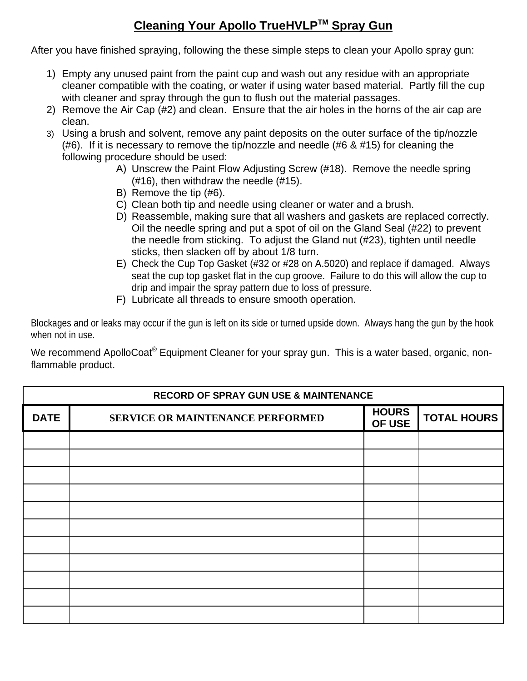## **Cleaning Your Apollo TrueHVLPTM Spray Gun**

After you have finished spraying, following the these simple steps to clean your Apollo spray gun:

- 1) Empty any unused paint from the paint cup and wash out any residue with an appropriate cleaner compatible with the coating, or water if using water based material. Partly fill the cup with cleaner and spray through the gun to flush out the material passages.
- 2) Remove the Air Cap (#2) and clean. Ensure that the air holes in the horns of the air cap are clean.
- 3) Using a brush and solvent, remove any paint deposits on the outer surface of the tip/nozzle (#6). If it is necessary to remove the tip/nozzle and needle (#6 & #15) for cleaning the following procedure should be used:
	- A) Unscrew the Paint Flow Adjusting Screw (#18). Remove the needle spring (#16), then withdraw the needle (#15).
	- B) Remove the tip (#6).
	- C) Clean both tip and needle using cleaner or water and a brush.
	- D) Reassemble, making sure that all washers and gaskets are replaced correctly. Oil the needle spring and put a spot of oil on the Gland Seal (#22) to prevent the needle from sticking. To adjust the Gland nut (#23), tighten until needle sticks, then slacken off by about 1/8 turn.
	- E) Check the Cup Top Gasket (#32 or #28 on A.5020) and replace if damaged. Always seat the cup top gasket flat in the cup groove. Failure to do this will allow the cup to drip and impair the spray pattern due to loss of pressure.
	- F) Lubricate all threads to ensure smooth operation.

Blockages and or leaks may occur if the gun is left on its side or turned upside down. Always hang the gun by the hook when not in use.

We recommend ApolloCoat<sup>®</sup> Equipment Cleaner for your spray gun. This is a water based, organic, nonflammable product.

| <b>RECORD OF SPRAY GUN USE &amp; MAINTENANCE</b> |                                  |                        |                    |  |
|--------------------------------------------------|----------------------------------|------------------------|--------------------|--|
| <b>DATE</b>                                      | SERVICE OR MAINTENANCE PERFORMED | <b>HOURS</b><br>OF USE | <b>TOTAL HOURS</b> |  |
|                                                  |                                  |                        |                    |  |
|                                                  |                                  |                        |                    |  |
|                                                  |                                  |                        |                    |  |
|                                                  |                                  |                        |                    |  |
|                                                  |                                  |                        |                    |  |
|                                                  |                                  |                        |                    |  |
|                                                  |                                  |                        |                    |  |
|                                                  |                                  |                        |                    |  |
|                                                  |                                  |                        |                    |  |
|                                                  |                                  |                        |                    |  |
|                                                  |                                  |                        |                    |  |